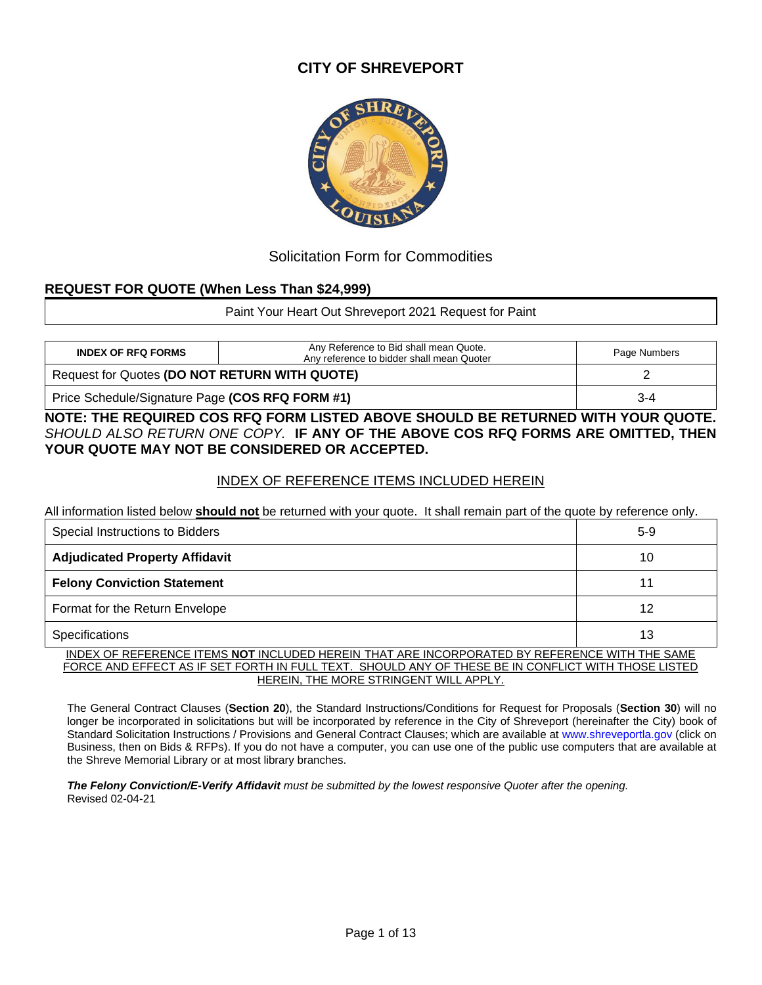## **CITY OF SHREVEPORT**



## Solicitation Form for Commodities

## **REQUEST FOR QUOTE (When Less Than \$24,999)**

Paint Your Heart Out Shreveport 2021 Request for Paint

| <b>INDEX OF RFQ FORMS</b>                       | Any Reference to Bid shall mean Quote.<br>Any reference to bidder shall mean Quoter | Page Numbers |  |
|-------------------------------------------------|-------------------------------------------------------------------------------------|--------------|--|
| Request for Quotes (DO NOT RETURN WITH QUOTE)   |                                                                                     |              |  |
| Price Schedule/Signature Page (COS RFQ FORM #1) | $3 - 4$                                                                             |              |  |

**NOTE: THE REQUIRED COS RFQ FORM LISTED ABOVE SHOULD BE RETURNED WITH YOUR QUOTE.**  *SHOULD ALSO RETURN ONE COPY.* **IF ANY OF THE ABOVE COS RFQ FORMS ARE OMITTED, THEN YOUR QUOTE MAY NOT BE CONSIDERED OR ACCEPTED.**

## INDEX OF REFERENCE ITEMS INCLUDED HEREIN

All information listed below **should not** be returned with your quote. It shall remain part of the quote by reference only.

| Special Instructions to Bidders                                                                 | $5-9$ |
|-------------------------------------------------------------------------------------------------|-------|
| <b>Adjudicated Property Affidavit</b>                                                           | 10    |
| <b>Felony Conviction Statement</b>                                                              |       |
| Format for the Return Envelope                                                                  | 12    |
| Specifications                                                                                  | 13    |
| IN DEVIAE DEFEDENCE JTEMO NAT INQUIDED UEDEIN TUAT ADE INCADDADATED DV DEFEDENCE WITH TUE OAME. |       |

INDEX OF REFERENCE ITEMS **NOT** INCLUDED HEREIN THAT ARE INCORPORATED BY REFERENCE WITH THE SAME FORCE AND EFFECT AS IF SET FORTH IN FULL TEXT. SHOULD ANY OF THESE BE IN CONFLICT WITH THOSE LISTED HEREIN, THE MORE STRINGENT WILL APPLY.

The General Contract Clauses (**Section 20**), the Standard Instructions/Conditions for Request for Proposals (**Section 30**) will no longer be incorporated in solicitations but will be incorporated by reference in the City of Shreveport (hereinafter the City) book of Standard Solicitation Instructions / Provisions and General Contract Clauses; which are available at [www.shreveportla.gov](http://www.shreveportla.gov/) (click on Business, then on Bids & RFPs). If you do not have a computer, you can use one of the public use computers that are available at the Shreve Memorial Library or at most library branches.

*The Felony Conviction/E-Verify Affidavit must be submitted by the lowest responsive Quoter after the opening.* Revised 02-04-21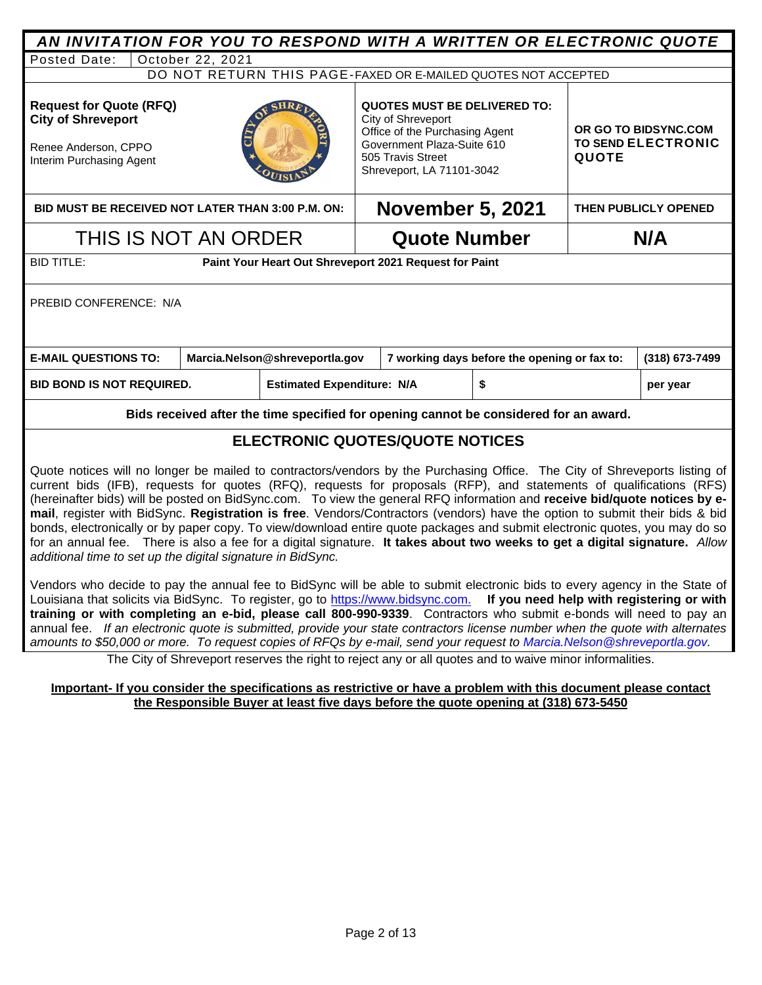| AN INVITATION FOR YOU TO RESPOND WITH A WRITTEN OR ELECTRONIC QUOTE                                                                                                                                                                                                                                                                                                                                                                                                                                                                                                                                                                                                                                                                                                                                                                                                                                                                                                                                                                                                                                                                                                                                                                                                                                                                                         |                                                                                       |                                                                                                                                                                             |                                              |                                                                   |                |  |
|-------------------------------------------------------------------------------------------------------------------------------------------------------------------------------------------------------------------------------------------------------------------------------------------------------------------------------------------------------------------------------------------------------------------------------------------------------------------------------------------------------------------------------------------------------------------------------------------------------------------------------------------------------------------------------------------------------------------------------------------------------------------------------------------------------------------------------------------------------------------------------------------------------------------------------------------------------------------------------------------------------------------------------------------------------------------------------------------------------------------------------------------------------------------------------------------------------------------------------------------------------------------------------------------------------------------------------------------------------------|---------------------------------------------------------------------------------------|-----------------------------------------------------------------------------------------------------------------------------------------------------------------------------|----------------------------------------------|-------------------------------------------------------------------|----------------|--|
| October 22, 2021<br>Posted Date:                                                                                                                                                                                                                                                                                                                                                                                                                                                                                                                                                                                                                                                                                                                                                                                                                                                                                                                                                                                                                                                                                                                                                                                                                                                                                                                            |                                                                                       |                                                                                                                                                                             |                                              |                                                                   |                |  |
|                                                                                                                                                                                                                                                                                                                                                                                                                                                                                                                                                                                                                                                                                                                                                                                                                                                                                                                                                                                                                                                                                                                                                                                                                                                                                                                                                             | DO NOT RETURN THIS PAGE-FAXED OR E-MAILED QUOTES NOT ACCEPTED                         |                                                                                                                                                                             |                                              |                                                                   |                |  |
| <b>Request for Quote (RFQ)</b><br><b>City of Shreveport</b><br>Renee Anderson, CPPO<br>Interim Purchasing Agent                                                                                                                                                                                                                                                                                                                                                                                                                                                                                                                                                                                                                                                                                                                                                                                                                                                                                                                                                                                                                                                                                                                                                                                                                                             |                                                                                       | <b>QUOTES MUST BE DELIVERED TO:</b><br>City of Shreveport<br>Office of the Purchasing Agent<br>Government Plaza-Suite 610<br>505 Travis Street<br>Shreveport, LA 71101-3042 |                                              | OR GO TO BIDSYNC.COM<br><b>TO SEND ELECTRONIC</b><br><b>QUOTE</b> |                |  |
| BID MUST BE RECEIVED NOT LATER THAN 3:00 P.M. ON:                                                                                                                                                                                                                                                                                                                                                                                                                                                                                                                                                                                                                                                                                                                                                                                                                                                                                                                                                                                                                                                                                                                                                                                                                                                                                                           |                                                                                       | <b>November 5, 2021</b>                                                                                                                                                     |                                              | <b>THEN PUBLICLY OPENED</b>                                       |                |  |
| THIS IS NOT AN ORDER                                                                                                                                                                                                                                                                                                                                                                                                                                                                                                                                                                                                                                                                                                                                                                                                                                                                                                                                                                                                                                                                                                                                                                                                                                                                                                                                        |                                                                                       | <b>Quote Number</b>                                                                                                                                                         |                                              |                                                                   | N/A            |  |
| <b>BID TITLE:</b>                                                                                                                                                                                                                                                                                                                                                                                                                                                                                                                                                                                                                                                                                                                                                                                                                                                                                                                                                                                                                                                                                                                                                                                                                                                                                                                                           | Paint Your Heart Out Shreveport 2021 Request for Paint                                |                                                                                                                                                                             |                                              |                                                                   |                |  |
| PREBID CONFERENCE: N/A                                                                                                                                                                                                                                                                                                                                                                                                                                                                                                                                                                                                                                                                                                                                                                                                                                                                                                                                                                                                                                                                                                                                                                                                                                                                                                                                      |                                                                                       |                                                                                                                                                                             |                                              |                                                                   |                |  |
| <b>E-MAIL QUESTIONS TO:</b>                                                                                                                                                                                                                                                                                                                                                                                                                                                                                                                                                                                                                                                                                                                                                                                                                                                                                                                                                                                                                                                                                                                                                                                                                                                                                                                                 | Marcia.Nelson@shreveportla.gov                                                        |                                                                                                                                                                             | 7 working days before the opening or fax to: |                                                                   | (318) 673-7499 |  |
| <b>BID BOND IS NOT REQUIRED.</b>                                                                                                                                                                                                                                                                                                                                                                                                                                                                                                                                                                                                                                                                                                                                                                                                                                                                                                                                                                                                                                                                                                                                                                                                                                                                                                                            | <b>Estimated Expenditure: N/A</b>                                                     | \$                                                                                                                                                                          |                                              |                                                                   | per year       |  |
|                                                                                                                                                                                                                                                                                                                                                                                                                                                                                                                                                                                                                                                                                                                                                                                                                                                                                                                                                                                                                                                                                                                                                                                                                                                                                                                                                             | Bids received after the time specified for opening cannot be considered for an award. |                                                                                                                                                                             |                                              |                                                                   |                |  |
|                                                                                                                                                                                                                                                                                                                                                                                                                                                                                                                                                                                                                                                                                                                                                                                                                                                                                                                                                                                                                                                                                                                                                                                                                                                                                                                                                             | <b>ELECTRONIC QUOTES/QUOTE NOTICES</b>                                                |                                                                                                                                                                             |                                              |                                                                   |                |  |
| Quote notices will no longer be mailed to contractors/vendors by the Purchasing Office. The City of Shreveports listing of<br>current bids (IFB), requests for quotes (RFQ), requests for proposals (RFP), and statements of qualifications (RFS)<br>(hereinafter bids) will be posted on BidSync.com. To view the general RFQ information and receive bid/quote notices by e-<br>mail, register with BidSync. Registration is free. Vendors/Contractors (vendors) have the option to submit their bids & bid<br>bonds, electronically or by paper copy. To view/download entire quote packages and submit electronic quotes, you may do so<br>for an annual fee. There is also a fee for a digital signature. It takes about two weeks to get a digital signature. Allow<br>additional time to set up the digital signature in BidSync.<br>Vendors who decide to pay the annual fee to BidSync will be able to submit electronic bids to every agency in the State of<br>Louisiana that solicits via BidSync. To register, go to https://www.bidsync.com. If you need help with registering or with<br>training or with completing an e-bid, please call 800-990-9339. Contractors who submit e-bonds will need to pay an<br>annual fee. If an electronic quote is submitted, provide your state contractors license number when the quote with alternates |                                                                                       |                                                                                                                                                                             |                                              |                                                                   |                |  |

The City of Shreveport reserves the right to reject any or all quotes and to waive minor informalities.

*amounts to \$50,000 or more. To request copies of RFQs by e-mail, send your request to [Marcia.Nelson@shreveportla.gov.](mailto:Marcia.Nelson@shreveportla.gov)* 

#### **Important- If you consider the specifications as restrictive or have a problem with this document please contact the Responsible Buyer at least five days before the quote opening at (318) 673-5450**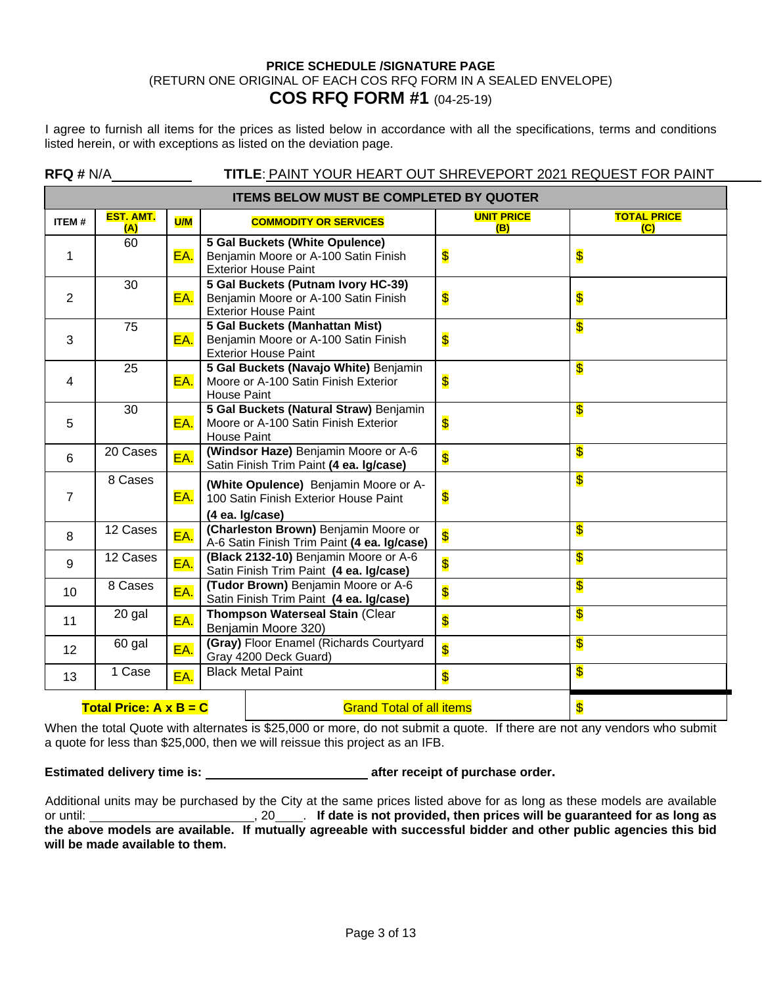#### **PRICE SCHEDULE /SIGNATURE PAGE** (RETURN ONE ORIGINAL OF EACH COS RFQ FORM IN A SEALED ENVELOPE) **COS RFQ FORM #1** (04-25-19)

I agree to furnish all items for the prices as listed below in accordance with all the specifications, terms and conditions listed herein, or with exceptions as listed on the deviation page.

|                                                | RFA H N/A<br>TITLE: PAINT YOUR HEART OUT SHREVEPORT 2021 REQUEST FOR PAINT |            |                                                                                                              |                           |                           |  |
|------------------------------------------------|----------------------------------------------------------------------------|------------|--------------------------------------------------------------------------------------------------------------|---------------------------|---------------------------|--|
| <b>ITEMS BELOW MUST BE COMPLETED BY QUOTER</b> |                                                                            |            |                                                                                                              |                           |                           |  |
| <b>ITEM#</b>                                   | <b>EST. AMT.</b><br>(A)                                                    | <b>U/M</b> | <b>COMMODITY OR SERVICES</b>                                                                                 | <b>UNIT PRICE</b><br>(B)  | <b>TOTAL PRICE</b><br>(C) |  |
| 1                                              | 60                                                                         | EA.        | 5 Gal Buckets (White Opulence)<br>Benjamin Moore or A-100 Satin Finish<br><b>Exterior House Paint</b>        | $\boldsymbol{\mathsf{s}}$ | \$                        |  |
| 2                                              | 30                                                                         | EA.        | 5 Gal Buckets (Putnam Ivory HC-39)<br>Benjamin Moore or A-100 Satin Finish<br><b>Exterior House Paint</b>    | $\overline{\mathbf{S}}$   | \$                        |  |
| 3                                              | 75                                                                         | EA.        | <b>5 Gal Buckets (Manhattan Mist)</b><br>Benjamin Moore or A-100 Satin Finish<br><b>Exterior House Paint</b> | $\overline{\mathbf{S}}$   | \$                        |  |
| $\overline{4}$                                 | 25                                                                         | EA.        | 5 Gal Buckets (Navajo White) Benjamin<br>Moore or A-100 Satin Finish Exterior<br><b>House Paint</b>          | $\overline{\mathbf{S}}$   | \$                        |  |
| 5                                              | 30                                                                         | EA.        | 5 Gal Buckets (Natural Straw) Benjamin<br>Moore or A-100 Satin Finish Exterior<br><b>House Paint</b>         | $\overline{\mathbf{S}}$   | \$                        |  |
| 6                                              | 20 Cases                                                                   | EA.        | (Windsor Haze) Benjamin Moore or A-6<br>Satin Finish Trim Paint (4 ea. Ig/case)                              | $\overline{\mathbf{S}}$   | \$                        |  |
| $\overline{7}$                                 | 8 Cases                                                                    | EA.        | (White Opulence) Benjamin Moore or A-<br>100 Satin Finish Exterior House Paint<br>(4 ea. Ig/case)            | $\boldsymbol{\mathsf{s}}$ | \$                        |  |
| 8                                              | 12 Cases                                                                   | EA.        | (Charleston Brown) Benjamin Moore or<br>A-6 Satin Finish Trim Paint (4 ea. Ig/case)                          | $\overline{\mathsf{S}}$   | \$                        |  |
| 9                                              | 12 Cases                                                                   | EA.        | (Black 2132-10) Benjamin Moore or A-6<br>Satin Finish Trim Paint (4 ea. Ig/case)                             | $\overline{\mathsf{S}}$   | \$                        |  |
| 10                                             | 8 Cases                                                                    | EA.        | (Tudor Brown) Benjamin Moore or A-6<br>Satin Finish Trim Paint (4 ea. Ig/case)                               | $\overline{\mathbf{S}}$   | \$                        |  |
| 11                                             | 20 gal                                                                     | EA.        | Thompson Waterseal Stain (Clear<br>Benjamin Moore 320)                                                       | $\overline{\mathbf{S}}$   | \$                        |  |
| 12 <sup>2</sup>                                | 60 gal                                                                     | EA.        | (Gray) Floor Enamel (Richards Courtyard<br>Gray 4200 Deck Guard)                                             | $\overline{\mathbf{S}}$   | \$                        |  |
| 13                                             | 1 Case                                                                     | EA.        | <b>Black Metal Paint</b>                                                                                     | \$                        | \$                        |  |
|                                                | Total Price: $A \times B = C$                                              |            | <b>Grand Total of all items</b>                                                                              |                           | \$                        |  |

When the total Quote with alternates is \$25,000 or more, do not submit a quote. If there are not any vendors who submit a quote for less than \$25,000, then we will reissue this project as an IFB.

**Estimated delivery time is:** \_\_\_\_\_\_\_\_\_\_\_\_\_\_\_\_\_\_\_\_\_\_\_\_\_\_\_\_\_\_\_\_ after receipt of purchase order.

Additional units may be purchased by the City at the same prices listed above for as long as these models are available gor until: 10 . **If date is not provided, then prices will be guaranteed for as long as the above models are available. If mutually agreeable with successful bidder and other public agencies this bid will be made available to them.**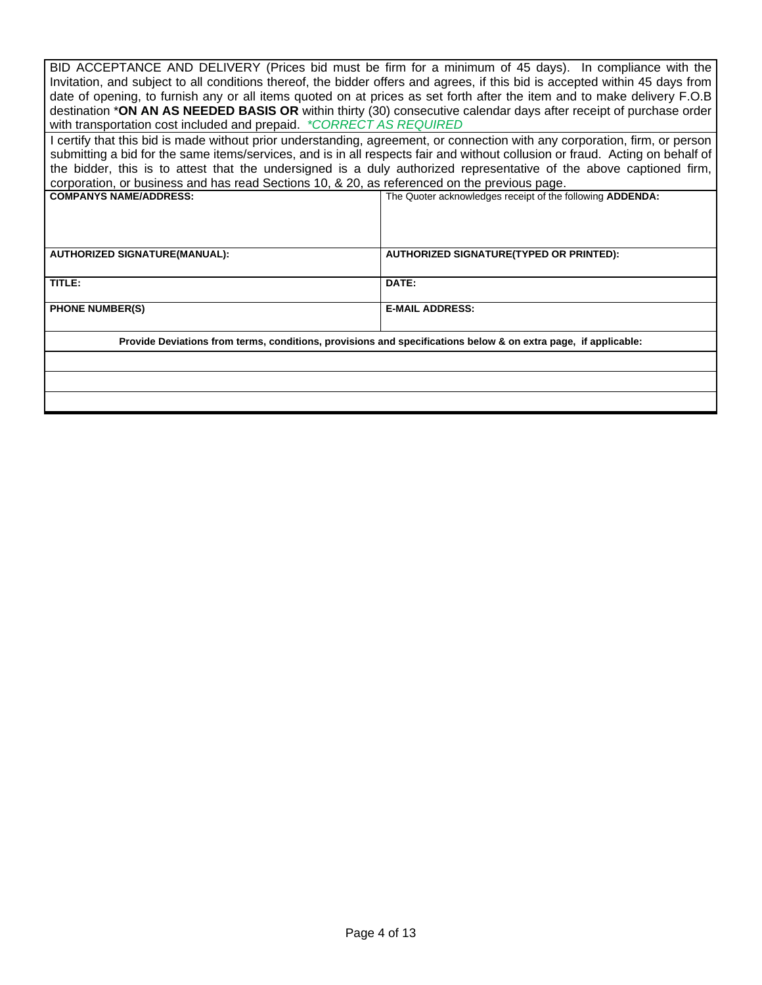| BID ACCEPTANCE AND DELIVERY (Prices bid must be firm for a minimum of 45 days). In compliance with the<br>Invitation, and subject to all conditions thereof, the bidder offers and agrees, if this bid is accepted within 45 days from<br>date of opening, to furnish any or all items quoted on at prices as set forth after the item and to make delivery F.O.B |                                                                                                                               |  |  |  |  |
|-------------------------------------------------------------------------------------------------------------------------------------------------------------------------------------------------------------------------------------------------------------------------------------------------------------------------------------------------------------------|-------------------------------------------------------------------------------------------------------------------------------|--|--|--|--|
|                                                                                                                                                                                                                                                                                                                                                                   |                                                                                                                               |  |  |  |  |
|                                                                                                                                                                                                                                                                                                                                                                   | destination *ON AN AS NEEDED BASIS OR within thirty (30) consecutive calendar days after receipt of purchase order            |  |  |  |  |
| with transportation cost included and prepaid. *CORRECT AS REQUIRED                                                                                                                                                                                                                                                                                               |                                                                                                                               |  |  |  |  |
|                                                                                                                                                                                                                                                                                                                                                                   | I certify that this bid is made without prior understanding, agreement, or connection with any corporation, firm, or person   |  |  |  |  |
|                                                                                                                                                                                                                                                                                                                                                                   | submitting a bid for the same items/services, and is in all respects fair and without collusion or fraud. Acting on behalf of |  |  |  |  |
|                                                                                                                                                                                                                                                                                                                                                                   | the bidder, this is to attest that the undersigned is a duly authorized representative of the above captioned firm,           |  |  |  |  |
| corporation, or business and has read Sections 10, & 20, as referenced on the previous page.                                                                                                                                                                                                                                                                      |                                                                                                                               |  |  |  |  |
| <b>COMPANYS NAME/ADDRESS:</b>                                                                                                                                                                                                                                                                                                                                     | The Quoter acknowledges receipt of the following ADDENDA:                                                                     |  |  |  |  |
|                                                                                                                                                                                                                                                                                                                                                                   |                                                                                                                               |  |  |  |  |
|                                                                                                                                                                                                                                                                                                                                                                   |                                                                                                                               |  |  |  |  |
|                                                                                                                                                                                                                                                                                                                                                                   |                                                                                                                               |  |  |  |  |
| <b>AUTHORIZED SIGNATURE(MANUAL):</b>                                                                                                                                                                                                                                                                                                                              | <b>AUTHORIZED SIGNATURE(TYPED OR PRINTED):</b>                                                                                |  |  |  |  |
|                                                                                                                                                                                                                                                                                                                                                                   |                                                                                                                               |  |  |  |  |
| TITLE:                                                                                                                                                                                                                                                                                                                                                            | DATE:                                                                                                                         |  |  |  |  |
|                                                                                                                                                                                                                                                                                                                                                                   |                                                                                                                               |  |  |  |  |
| <b>PHONE NUMBER(S)</b>                                                                                                                                                                                                                                                                                                                                            | <b>E-MAIL ADDRESS:</b>                                                                                                        |  |  |  |  |
|                                                                                                                                                                                                                                                                                                                                                                   |                                                                                                                               |  |  |  |  |
| Provide Deviations from terms, conditions, provisions and specifications below & on extra page, if applicable:                                                                                                                                                                                                                                                    |                                                                                                                               |  |  |  |  |
|                                                                                                                                                                                                                                                                                                                                                                   |                                                                                                                               |  |  |  |  |
|                                                                                                                                                                                                                                                                                                                                                                   |                                                                                                                               |  |  |  |  |
|                                                                                                                                                                                                                                                                                                                                                                   |                                                                                                                               |  |  |  |  |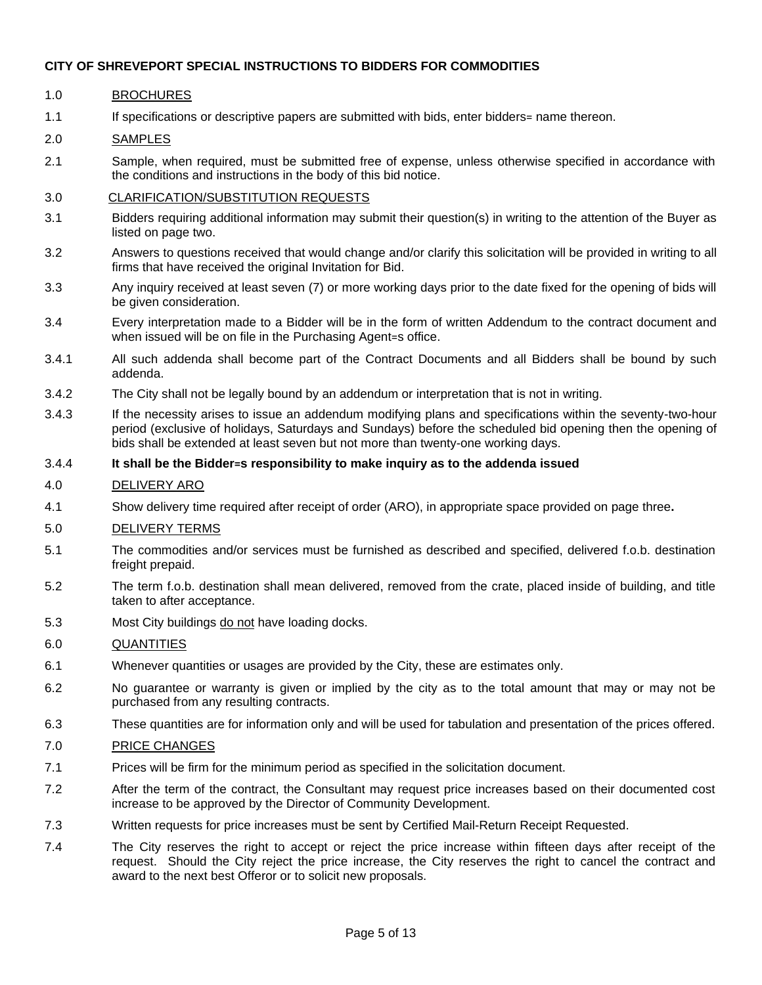#### 1.0 BROCHURES

1.1 If specifications or descriptive papers are submitted with bids, enter bidders= name thereon.

#### 2.0 SAMPLES

2.1 Sample, when required, must be submitted free of expense, unless otherwise specified in accordance with the conditions and instructions in the body of this bid notice.

#### 3.0 CLARIFICATION/SUBSTITUTION REQUESTS

- 3.1 Bidders requiring additional information may submit their question(s) in writing to the attention of the Buyer as listed on page two.
- 3.2 Answers to questions received that would change and/or clarify this solicitation will be provided in writing to all firms that have received the original Invitation for Bid.
- 3.3 Any inquiry received at least seven (7) or more working days prior to the date fixed for the opening of bids will be given consideration.
- 3.4 Every interpretation made to a Bidder will be in the form of written Addendum to the contract document and when issued will be on file in the Purchasing Agent=s office.
- 3.4.1 All such addenda shall become part of the Contract Documents and all Bidders shall be bound by such addenda.
- 3.4.2 The City shall not be legally bound by an addendum or interpretation that is not in writing.
- 3.4.3 If the necessity arises to issue an addendum modifying plans and specifications within the seventy-two-hour period (exclusive of holidays, Saturdays and Sundays) before the scheduled bid opening then the opening of bids shall be extended at least seven but not more than twenty-one working days.

#### 3.4.4 **It shall be the Bidder=s responsibility to make inquiry as to the addenda issued**

#### 4.0 DELIVERY ARO

4.1 Show delivery time required after receipt of order (ARO), in appropriate space provided on page three**.**

#### 5.0 DELIVERY TERMS

- 5.1 The commodities and/or services must be furnished as described and specified, delivered f.o.b. destination freight prepaid.
- 5.2 The term f.o.b. destination shall mean delivered, removed from the crate, placed inside of building, and title taken to after acceptance.
- 5.3 Most City buildings do not have loading docks.

#### 6.0 QUANTITIES

- 6.1 Whenever quantities or usages are provided by the City, these are estimates only.
- 6.2 No guarantee or warranty is given or implied by the city as to the total amount that may or may not be purchased from any resulting contracts.
- 6.3 These quantities are for information only and will be used for tabulation and presentation of the prices offered.

#### 7.0 PRICE CHANGES

- 7.1 Prices will be firm for the minimum period as specified in the solicitation document.
- 7.2 After the term of the contract, the Consultant may request price increases based on their documented cost increase to be approved by the Director of Community Development.
- 7.3 Written requests for price increases must be sent by Certified Mail-Return Receipt Requested.
- 7.4 The City reserves the right to accept or reject the price increase within fifteen days after receipt of the request. Should the City reject the price increase, the City reserves the right to cancel the contract and award to the next best Offeror or to solicit new proposals.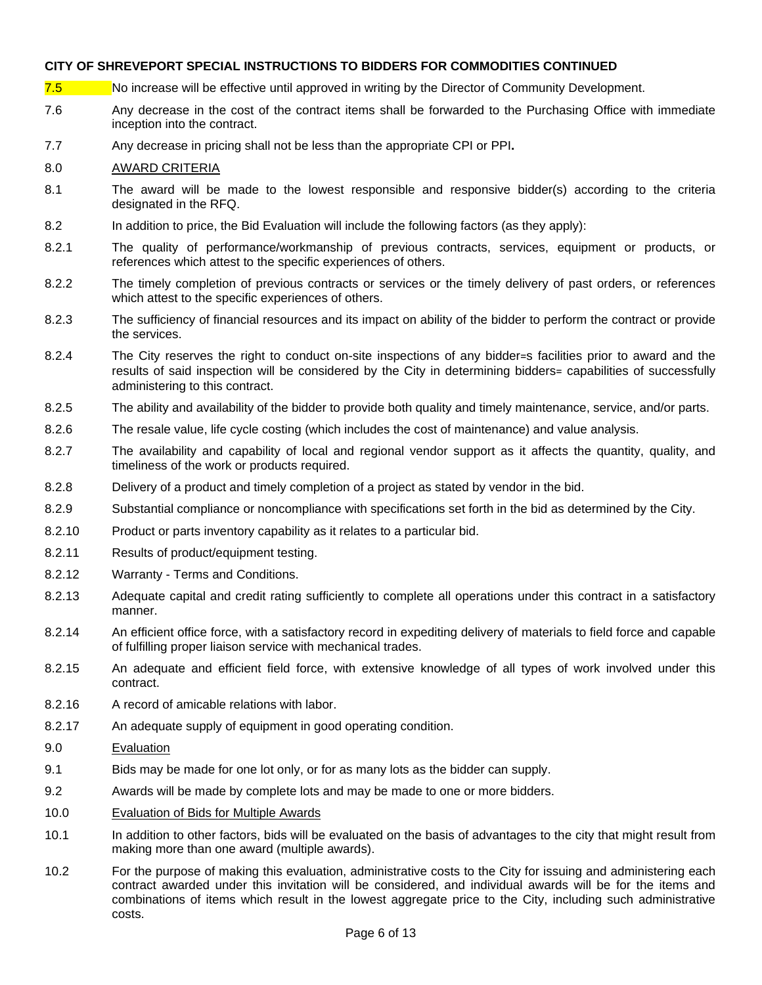- 7.5 No increase will be effective until approved in writing by the Director of Community Development.
- 7.6 Any decrease in the cost of the contract items shall be forwarded to the Purchasing Office with immediate inception into the contract.
- 7.7 Any decrease in pricing shall not be less than the appropriate CPI or PPI**.**

#### 8.0 AWARD CRITERIA

- 8.1 The award will be made to the lowest responsible and responsive bidder(s) according to the criteria designated in the RFQ.
- 8.2 In addition to price, the Bid Evaluation will include the following factors (as they apply):
- 8.2.1 The quality of performance/workmanship of previous contracts, services, equipment or products, or references which attest to the specific experiences of others.
- 8.2.2 The timely completion of previous contracts or services or the timely delivery of past orders, or references which attest to the specific experiences of others.
- 8.2.3 The sufficiency of financial resources and its impact on ability of the bidder to perform the contract or provide the services.
- 8.2.4 The City reserves the right to conduct on-site inspections of any bidder=s facilities prior to award and the results of said inspection will be considered by the City in determining bidders= capabilities of successfully administering to this contract.
- 8.2.5 The ability and availability of the bidder to provide both quality and timely maintenance, service, and/or parts.
- 8.2.6 The resale value, life cycle costing (which includes the cost of maintenance) and value analysis.
- 8.2.7 The availability and capability of local and regional vendor support as it affects the quantity, quality, and timeliness of the work or products required.
- 8.2.8 Delivery of a product and timely completion of a project as stated by vendor in the bid.
- 8.2.9 Substantial compliance or noncompliance with specifications set forth in the bid as determined by the City.
- 8.2.10 Product or parts inventory capability as it relates to a particular bid.
- 8.2.11 Results of product/equipment testing.
- 8.2.12 Warranty Terms and Conditions.
- 8.2.13 Adequate capital and credit rating sufficiently to complete all operations under this contract in a satisfactory manner.
- 8.2.14 An efficient office force, with a satisfactory record in expediting delivery of materials to field force and capable of fulfilling proper liaison service with mechanical trades.
- 8.2.15 An adequate and efficient field force, with extensive knowledge of all types of work involved under this contract.
- 8.2.16 A record of amicable relations with labor.
- 8.2.17 An adequate supply of equipment in good operating condition.
- 9.0 Evaluation
- 9.1 Bids may be made for one lot only, or for as many lots as the bidder can supply.
- 9.2 Awards will be made by complete lots and may be made to one or more bidders.
- 10.0 Evaluation of Bids for Multiple Awards
- 10.1 In addition to other factors, bids will be evaluated on the basis of advantages to the city that might result from making more than one award (multiple awards).
- 10.2 For the purpose of making this evaluation, administrative costs to the City for issuing and administering each contract awarded under this invitation will be considered, and individual awards will be for the items and combinations of items which result in the lowest aggregate price to the City, including such administrative costs.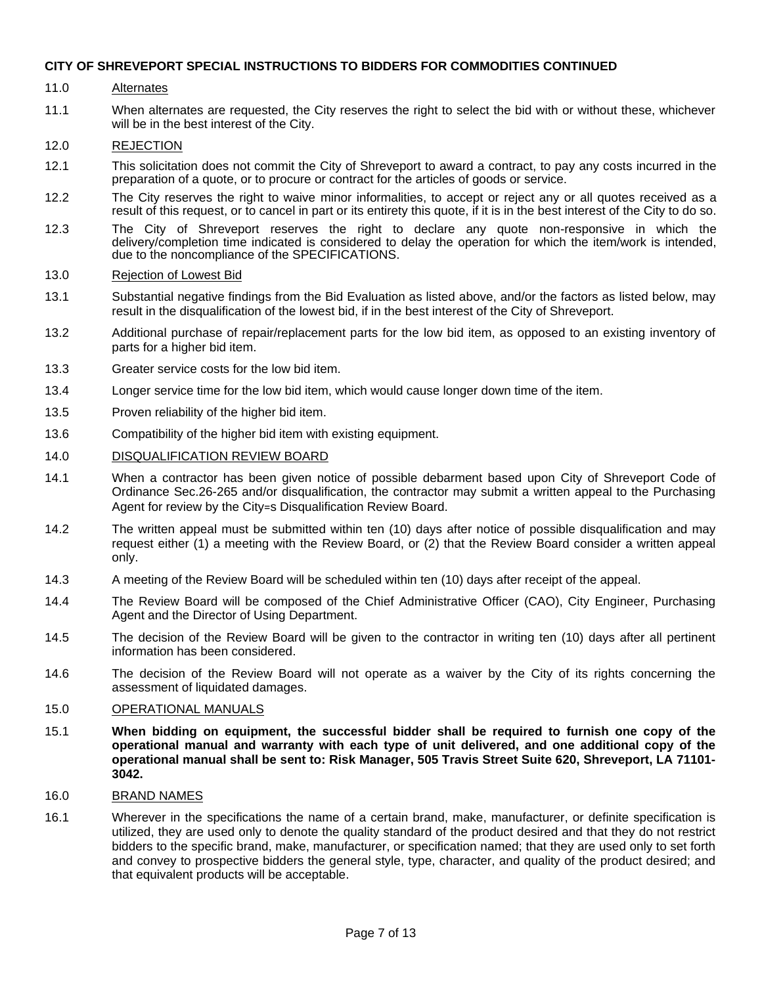#### 11.0 Alternates

11.1 When alternates are requested, the City reserves the right to select the bid with or without these, whichever will be in the best interest of the City.

#### 12.0 REJECTION

- 12.1 This solicitation does not commit the City of Shreveport to award a contract, to pay any costs incurred in the preparation of a quote, or to procure or contract for the articles of goods or service.
- 12.2 The City reserves the right to waive minor informalities, to accept or reject any or all quotes received as a result of this request, or to cancel in part or its entirety this quote, if it is in the best interest of the City to do so.
- 12.3 The City of Shreveport reserves the right to declare any quote non-responsive in which the delivery/completion time indicated is considered to delay the operation for which the item/work is intended, due to the noncompliance of the SPECIFICATIONS.

#### 13.0 Rejection of Lowest Bid

- 13.1 Substantial negative findings from the Bid Evaluation as listed above, and/or the factors as listed below, may result in the disqualification of the lowest bid, if in the best interest of the City of Shreveport.
- 13.2 Additional purchase of repair/replacement parts for the low bid item, as opposed to an existing inventory of parts for a higher bid item.
- 13.3 Greater service costs for the low bid item.
- 13.4 Longer service time for the low bid item, which would cause longer down time of the item.
- 13.5 Proven reliability of the higher bid item.
- 13.6 Compatibility of the higher bid item with existing equipment.

#### 14.0 DISQUALIFICATION REVIEW BOARD

- 14.1 When a contractor has been given notice of possible debarment based upon City of Shreveport Code of Ordinance Sec.26-265 and/or disqualification, the contractor may submit a written appeal to the Purchasing Agent for review by the City=s Disqualification Review Board.
- 14.2 The written appeal must be submitted within ten (10) days after notice of possible disqualification and may request either (1) a meeting with the Review Board, or (2) that the Review Board consider a written appeal only.
- 14.3 A meeting of the Review Board will be scheduled within ten (10) days after receipt of the appeal.
- 14.4 The Review Board will be composed of the Chief Administrative Officer (CAO), City Engineer, Purchasing Agent and the Director of Using Department.
- 14.5 The decision of the Review Board will be given to the contractor in writing ten (10) days after all pertinent information has been considered.
- 14.6 The decision of the Review Board will not operate as a waiver by the City of its rights concerning the assessment of liquidated damages.

#### 15.0 OPERATIONAL MANUALS

- 15.1 **When bidding on equipment, the successful bidder shall be required to furnish one copy of the operational manual and warranty with each type of unit delivered, and one additional copy of the operational manual shall be sent to: Risk Manager, 505 Travis Street Suite 620, Shreveport, LA 71101- 3042.**
- 16.0 BRAND NAMES
- 16.1 Wherever in the specifications the name of a certain brand, make, manufacturer, or definite specification is utilized, they are used only to denote the quality standard of the product desired and that they do not restrict bidders to the specific brand, make, manufacturer, or specification named; that they are used only to set forth and convey to prospective bidders the general style, type, character, and quality of the product desired; and that equivalent products will be acceptable.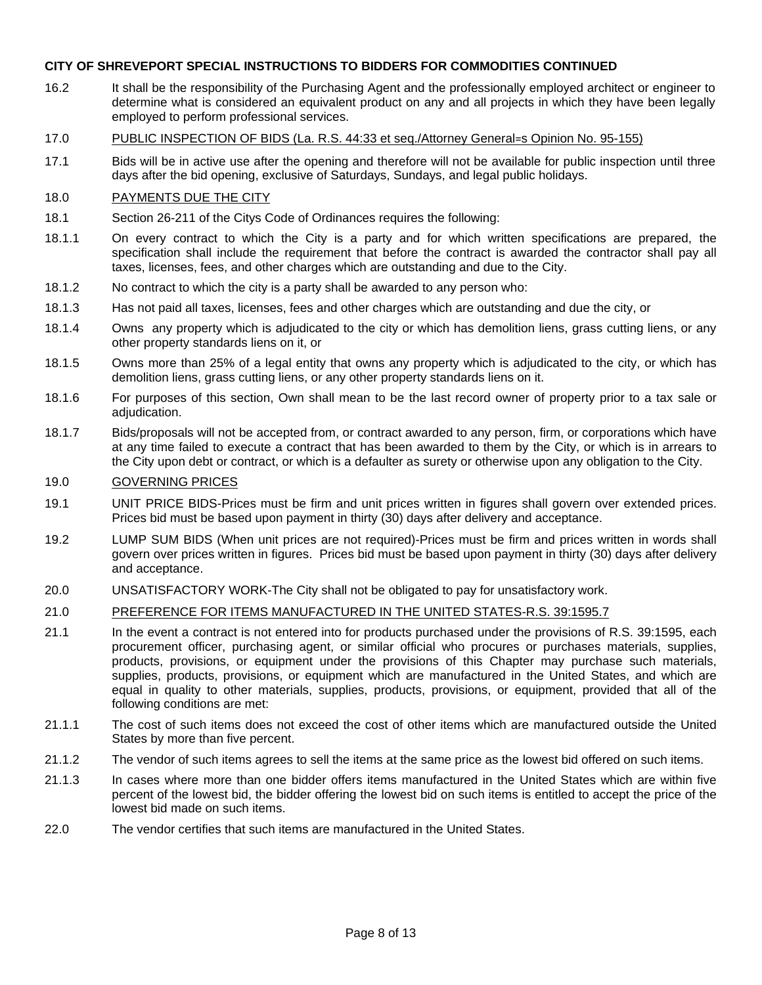- 16.2 It shall be the responsibility of the Purchasing Agent and the professionally employed architect or engineer to determine what is considered an equivalent product on any and all projects in which they have been legally employed to perform professional services.
- 17.0 PUBLIC INSPECTION OF BIDS (La. R.S. 44:33 et seq./Attorney General=s Opinion No. 95-155)
- 17.1 Bids will be in active use after the opening and therefore will not be available for public inspection until three days after the bid opening, exclusive of Saturdays, Sundays, and legal public holidays.

#### 18.0 PAYMENTS DUE THE CITY

- 18.1 Section 26-211 of the Citys Code of Ordinances requires the following:
- 18.1.1 On every contract to which the City is a party and for which written specifications are prepared, the specification shall include the requirement that before the contract is awarded the contractor shall pay all taxes, licenses, fees, and other charges which are outstanding and due to the City.
- 18.1.2 No contract to which the city is a party shall be awarded to any person who:
- 18.1.3 Has not paid all taxes, licenses, fees and other charges which are outstanding and due the city, or
- 18.1.4 Owns any property which is adjudicated to the city or which has demolition liens, grass cutting liens, or any other property standards liens on it, or
- 18.1.5 Owns more than 25% of a legal entity that owns any property which is adjudicated to the city, or which has demolition liens, grass cutting liens, or any other property standards liens on it.
- 18.1.6 For purposes of this section, Own shall mean to be the last record owner of property prior to a tax sale or adiudication.
- 18.1.7 Bids/proposals will not be accepted from, or contract awarded to any person, firm, or corporations which have at any time failed to execute a contract that has been awarded to them by the City, or which is in arrears to the City upon debt or contract, or which is a defaulter as surety or otherwise upon any obligation to the City.

#### 19.0 GOVERNING PRICES

- 19.1 UNIT PRICE BIDS-Prices must be firm and unit prices written in figures shall govern over extended prices. Prices bid must be based upon payment in thirty (30) days after delivery and acceptance.
- 19.2 LUMP SUM BIDS (When unit prices are not required)-Prices must be firm and prices written in words shall govern over prices written in figures. Prices bid must be based upon payment in thirty (30) days after delivery and acceptance.
- 20.0 UNSATISFACTORY WORK-The City shall not be obligated to pay for unsatisfactory work.

#### 21.0 PREFERENCE FOR ITEMS MANUFACTURED IN THE UNITED STATES-R.S. 39:1595.7

- 21.1 In the event a contract is not entered into for products purchased under the provisions of R.S. 39:1595, each procurement officer, purchasing agent, or similar official who procures or purchases materials, supplies, products, provisions, or equipment under the provisions of this Chapter may purchase such materials, supplies, products, provisions, or equipment which are manufactured in the United States, and which are equal in quality to other materials, supplies, products, provisions, or equipment, provided that all of the following conditions are met:
- 21.1.1 The cost of such items does not exceed the cost of other items which are manufactured outside the United States by more than five percent.
- 21.1.2 The vendor of such items agrees to sell the items at the same price as the lowest bid offered on such items.
- 21.1.3 In cases where more than one bidder offers items manufactured in the United States which are within five percent of the lowest bid, the bidder offering the lowest bid on such items is entitled to accept the price of the lowest bid made on such items.
- 22.0 The vendor certifies that such items are manufactured in the United States.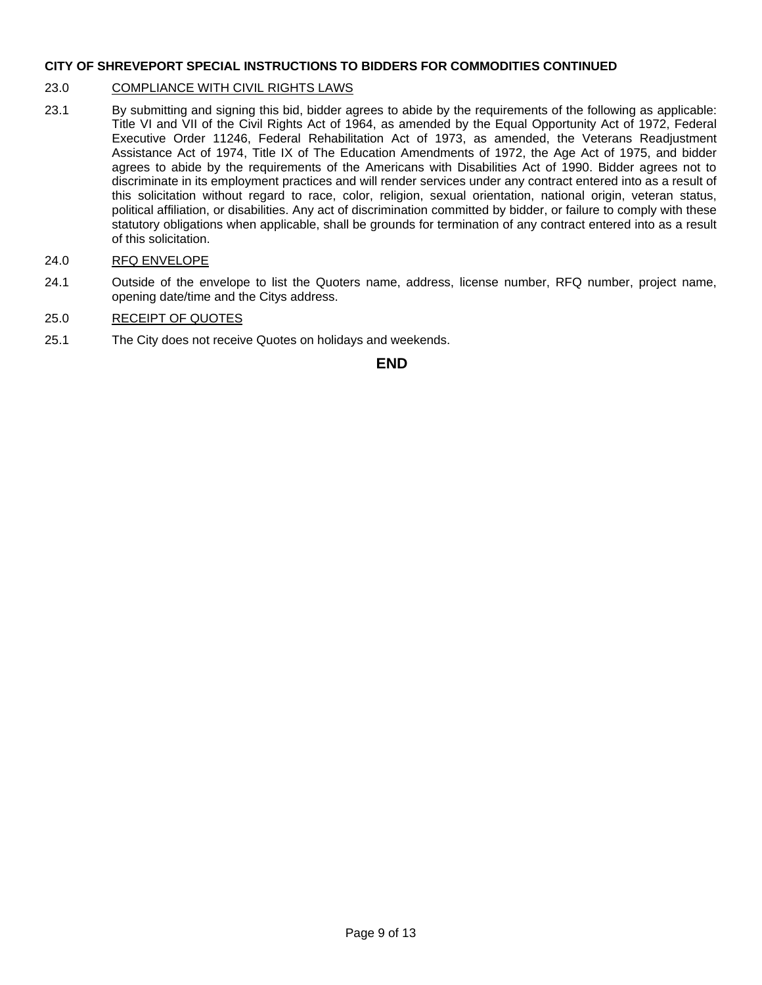#### 23.0 COMPLIANCE WITH CIVIL RIGHTS LAWS

- 23.1 By submitting and signing this bid, bidder agrees to abide by the requirements of the following as applicable: Title VI and VII of the Civil Rights Act of 1964, as amended by the Equal Opportunity Act of 1972, Federal Executive Order 11246, Federal Rehabilitation Act of 1973, as amended, the Veterans Readjustment Assistance Act of 1974, Title IX of The Education Amendments of 1972, the Age Act of 1975, and bidder agrees to abide by the requirements of the Americans with Disabilities Act of 1990. Bidder agrees not to discriminate in its employment practices and will render services under any contract entered into as a result of this solicitation without regard to race, color, religion, sexual orientation, national origin, veteran status, political affiliation, or disabilities. Any act of discrimination committed by bidder, or failure to comply with these statutory obligations when applicable, shall be grounds for termination of any contract entered into as a result of this solicitation.
- 24.0 RFQ ENVELOPE
- 24.1 Outside of the envelope to list the Quoters name, address, license number, RFQ number, project name, opening date/time and the Citys address.

#### 25.0 RECEIPT OF QUOTES

25.1 The City does not receive Quotes on holidays and weekends.

#### **END**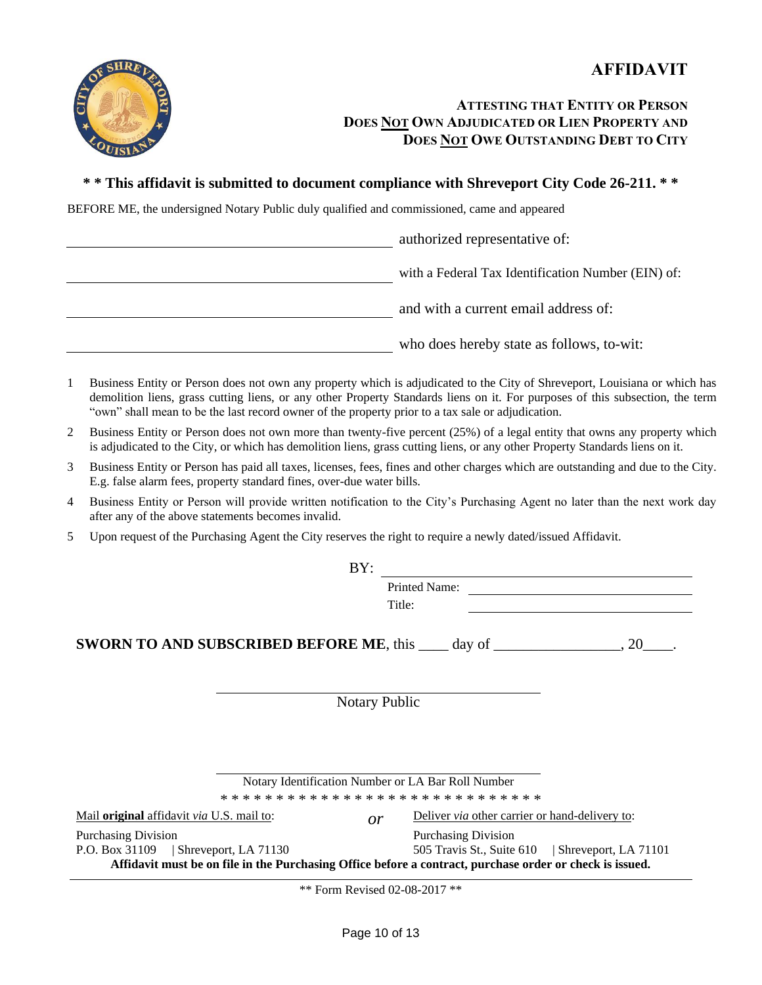

## **ATTESTING THAT ENTITY OR PERSON DOES NOT OWN ADJUDICATED OR LIEN PROPERTY AND DOES NOT OWE OUTSTANDING DEBT TO CITY**

## **\* \* This affidavit is submitted to document compliance with Shreveport City Code 26-211. \* \***

BEFORE ME, the undersigned Notary Public duly qualified and commissioned, came and appeared

| authorized representative of:                      |
|----------------------------------------------------|
| with a Federal Tax Identification Number (EIN) of: |
| and with a current email address of:               |
| who does hereby state as follows, to-wit:          |

- 1 Business Entity or Person does not own any property which is adjudicated to the City of Shreveport, Louisiana or which has demolition liens, grass cutting liens, or any other Property Standards liens on it. For purposes of this subsection, the term "own" shall mean to be the last record owner of the property prior to a tax sale or adjudication.
- 2 Business Entity or Person does not own more than twenty-five percent (25%) of a legal entity that owns any property which is adjudicated to the City, or which has demolition liens, grass cutting liens, or any other Property Standards liens on it.
- 3 Business Entity or Person has paid all taxes, licenses, fees, fines and other charges which are outstanding and due to the City. E.g. false alarm fees, property standard fines, over-due water bills.
- 4 Business Entity or Person will provide written notification to the City's Purchasing Agent no later than the next work day after any of the above statements becomes invalid.
- 5 Upon request of the Purchasing Agent the City reserves the right to require a newly dated/issued Affidavit.

|                                                               | BY:                                                                                                      |                      |                                                                                                          |  |  |  |  |  |
|---------------------------------------------------------------|----------------------------------------------------------------------------------------------------------|----------------------|----------------------------------------------------------------------------------------------------------|--|--|--|--|--|
|                                                               |                                                                                                          |                      | Printed Name:                                                                                            |  |  |  |  |  |
|                                                               |                                                                                                          | Title:               |                                                                                                          |  |  |  |  |  |
|                                                               |                                                                                                          |                      |                                                                                                          |  |  |  |  |  |
|                                                               | <b>SWORN TO AND SUBSCRIBED BEFORE ME, this <math>\qquad</math> day of <math>\qquad \qquad</math>, 20</b> |                      |                                                                                                          |  |  |  |  |  |
|                                                               |                                                                                                          |                      |                                                                                                          |  |  |  |  |  |
|                                                               |                                                                                                          |                      |                                                                                                          |  |  |  |  |  |
|                                                               |                                                                                                          | <b>Notary Public</b> |                                                                                                          |  |  |  |  |  |
|                                                               |                                                                                                          |                      |                                                                                                          |  |  |  |  |  |
|                                                               |                                                                                                          |                      |                                                                                                          |  |  |  |  |  |
|                                                               |                                                                                                          |                      |                                                                                                          |  |  |  |  |  |
|                                                               |                                                                                                          |                      |                                                                                                          |  |  |  |  |  |
|                                                               | Notary Identification Number or LA Bar Roll Number                                                       |                      |                                                                                                          |  |  |  |  |  |
|                                                               |                                                                                                          |                      |                                                                                                          |  |  |  |  |  |
| Mail <b>original</b> affidavit <i>via</i> U.S. mail to:<br>or |                                                                                                          |                      | Deliver via other carrier or hand-delivery to:                                                           |  |  |  |  |  |
| <b>Purchasing Division</b>                                    |                                                                                                          |                      | <b>Purchasing Division</b>                                                                               |  |  |  |  |  |
| P.O. Box $31109$   Shreveport, LA $71130$                     |                                                                                                          |                      | 505 Travis St., Suite 610   Shreveport, LA 71101                                                         |  |  |  |  |  |
|                                                               |                                                                                                          |                      | Affidavit must be on file in the Purchasing Office before a contract, purchase order or check is issued. |  |  |  |  |  |

\*\* Form Revised 02-08-2017 \*\*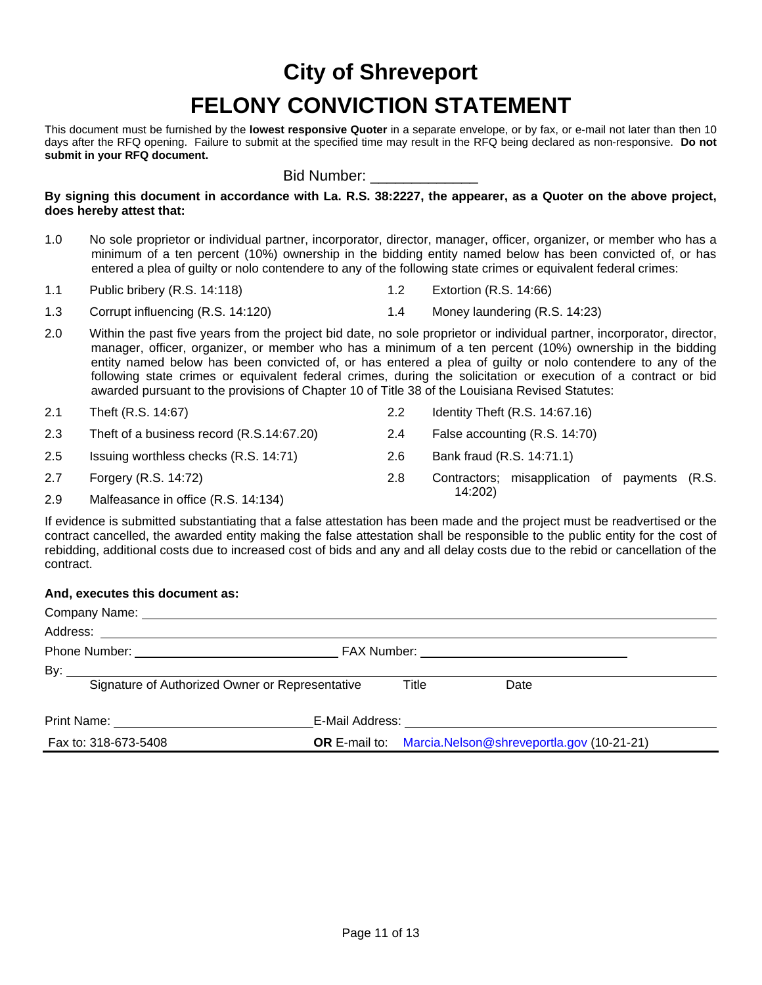# **City of Shreveport FELONY CONVICTION STATEMENT**

This document must be furnished by the **lowest responsive Quoter** in a separate envelope, or by fax, or e-mail not later than then 10 days after the RFQ opening. Failure to submit at the specified time may result in the RFQ being declared as non-responsive. **Do not submit in your RFQ document.**

Bid Number:

**By signing this document in accordance with La. R.S. 38:2227, the appearer, as a Quoter on the above project, does hereby attest that:**

- 1.0 No sole proprietor or individual partner, incorporator, director, manager, officer, organizer, or member who has a minimum of a ten percent (10%) ownership in the bidding entity named below has been convicted of, or has entered a plea of guilty or nolo contendere to any of the following state crimes or equivalent federal crimes:
- 1.1 Public bribery (R.S. 14:118) 1.2 Extortion (R.S. 14:66)
- 1.3 Corrupt influencing (R.S. 14:120) 1.4 Money laundering (R.S. 14:23)
- 2.0 Within the past five years from the project bid date, no sole proprietor or individual partner, incorporator, director, manager, officer, organizer, or member who has a minimum of a ten percent (10%) ownership in the bidding entity named below has been convicted of, or has entered a plea of guilty or nolo contendere to any of the following state crimes or equivalent federal crimes, during the solicitation or execution of a contract or bid awarded pursuant to the provisions of Chapter 10 of Title 38 of the Louisiana Revised Statutes:
- 2.1 Theft (R.S. 14:67) 2.2 Identity Theft (R.S. 14:67.16) 2.3 Theft of a business record (R.S.14:67.20) 2.4 False accounting (R.S. 14:70) 2.5 Issuing worthless checks (R.S. 14:71) 2.6 Bank fraud (R.S. 14:71.1) 2.7 Forgery (R.S. 14:72) 2.8 Contractors; misapplication of payments (R.S. 14:202) 2.9 Malfeasance in office (R.S. 14:134)

If evidence is submitted substantiating that a false attestation has been made and the project must be readvertised or the contract cancelled, the awarded entity making the false attestation shall be responsible to the public entity for the cost of rebidding, additional costs due to increased cost of bids and any and all delay costs due to the rebid or cancellation of the contract.

#### **And, executes this document as:**

| Company Name: University of the Company Name:   |       |                                                                 |  |
|-------------------------------------------------|-------|-----------------------------------------------------------------|--|
|                                                 |       |                                                                 |  |
|                                                 |       | FAX Number: <u>__________________________________</u>           |  |
|                                                 |       |                                                                 |  |
| Signature of Authorized Owner or Representative | Title | Date                                                            |  |
| Print Name: <u>________________</u>             |       |                                                                 |  |
| Fax to: 318-673-5408                            |       | <b>OR</b> E-mail to: Marcia. Nelson@shreveportla.gov (10-21-21) |  |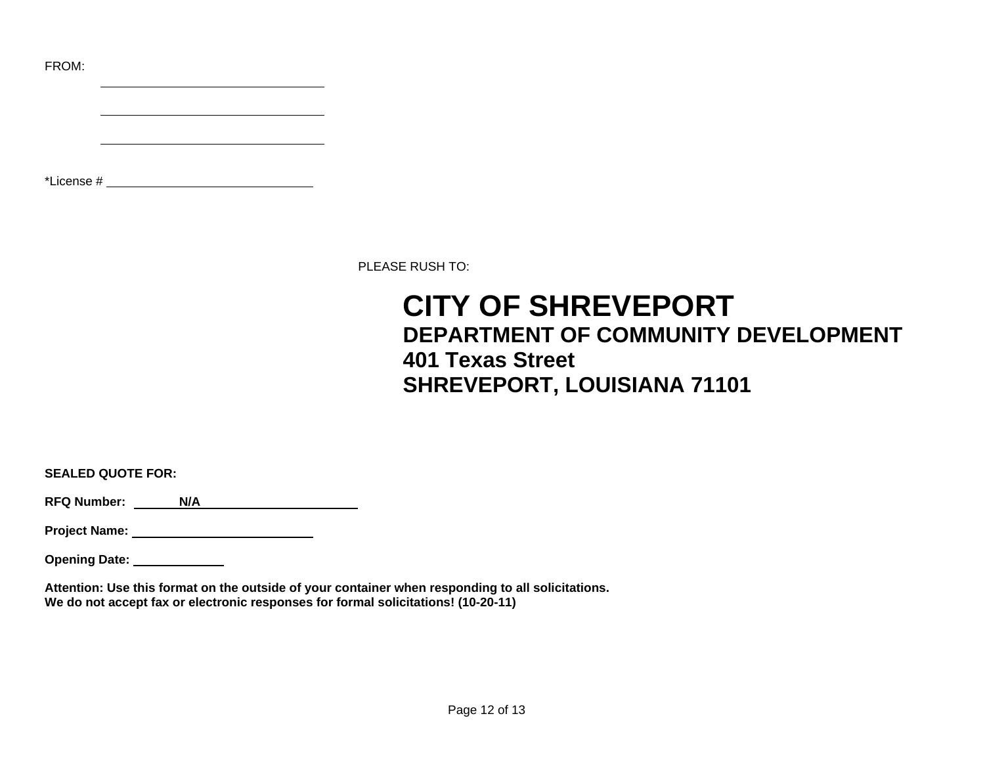FROM:

\*License #

PLEASE RUSH TO:

## **CITY OF SHREVEPORT DEPARTMENT OF COMMUNITY DEVELOPMENT 401 Texas Street SHREVEPORT, LOUISIANA 71101**

**SEALED QUOTE FOR:**

**RFQ Number:** N/A<br> **N/A** 

**Project Name:** 

**Opening Date:** 

**Attention: Use this format on the outside of your container when responding to all solicitations. We do not accept fax or electronic responses for formal solicitations! (10-20-11)**